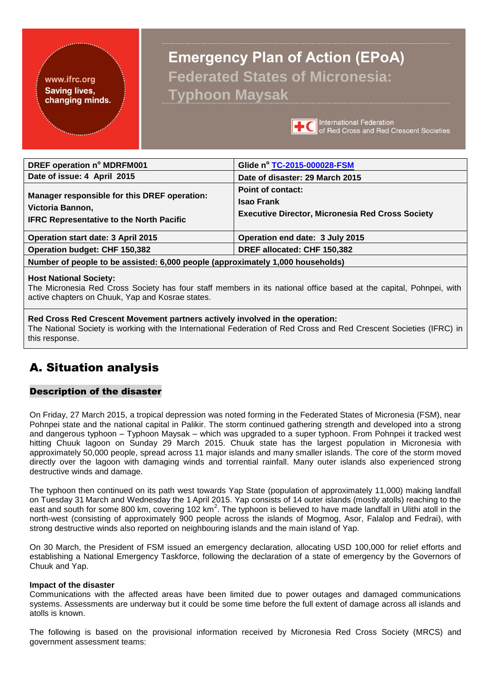#### <span id="page-0-0"></span>www.ifrc.org **Saving lives,** changing minds.

# **Emergency Plan of Action (EPoA) Federated States of Micronesia: Typhoon Maysak**



**International Federation TEC** International Federation<br>of Red Cross and Red Crescent Societies

| DREF operation n° MDRFM001<br>Date of issue: 4 April 2015                                                           | Glide nº TC-2015-000028-FSM<br>Date of disaster: 29 March 2015                                    |  |  |  |  |  |  |
|---------------------------------------------------------------------------------------------------------------------|---------------------------------------------------------------------------------------------------|--|--|--|--|--|--|
| Manager responsible for this DREF operation:<br>Victoria Bannon,<br><b>IFRC Representative to the North Pacific</b> | Point of contact:<br><b>Isao Frank</b><br><b>Executive Director, Micronesia Red Cross Society</b> |  |  |  |  |  |  |
| <b>Operation start date: 3 April 2015</b>                                                                           | Operation end date: 3 July 2015                                                                   |  |  |  |  |  |  |
| <b>Operation budget: CHF 150,382</b>                                                                                | DREF allocated: CHF 150,382                                                                       |  |  |  |  |  |  |
| Number of people to be assisted: 6,000 people (approximately 1,000 households)                                      |                                                                                                   |  |  |  |  |  |  |

#### **Host National Society:**

The Micronesia Red Cross Society has four staff members in its national office based at the capital, Pohnpei, with active chapters on Chuuk, Yap and Kosrae states.

**Red Cross Red Crescent Movement partners actively involved in the operation:** The National Society is working with the International Federation of Red Cross and Red Crescent Societies (IFRC) in this response.

# A. Situation analysis

### Description of the disaster

On Friday, 27 March 2015, a tropical depression was noted forming in the Federated States of Micronesia (FSM), near Pohnpei state and the national capital in Palikir. The storm continued gathering strength and developed into a strong and dangerous typhoon – Typhoon Maysak – which was upgraded to a super typhoon. From Pohnpei it tracked west hitting Chuuk lagoon on Sunday 29 March 2015. Chuuk state has the largest population in Micronesia with approximately 50,000 people, spread across 11 major islands and many smaller islands. The core of the storm moved directly over the lagoon with damaging winds and torrential rainfall. Many outer islands also experienced strong destructive winds and damage.

The typhoon then continued on its path west towards Yap State (population of approximately 11,000) making landfall on Tuesday 31 March and Wednesday the 1 April 2015. Yap consists of 14 outer islands (mostly atolls) reaching to the east and south for some 800 km, covering 102 km<sup>2</sup>. The typhoon is believed to have made landfall in Ulithi atoll in the north-west (consisting of approximately 900 people across the islands of Mogmog, Asor, Falalop and Fedrai), with strong destructive winds also reported on neighbouring islands and the main island of Yap.

On 30 March, the President of FSM issued an emergency declaration, allocating USD 100,000 for relief efforts and establishing a National Emergency Taskforce, following the declaration of a state of emergency by the Governors of Chuuk and Yap.

### **Impact of the disaster**

Communications with the affected areas have been limited due to power outages and damaged communications systems. Assessments are underway but it could be some time before the full extent of damage across all islands and atolls is known.

The following is based on the provisional information received by Micronesia Red Cross Society (MRCS) and government assessment teams: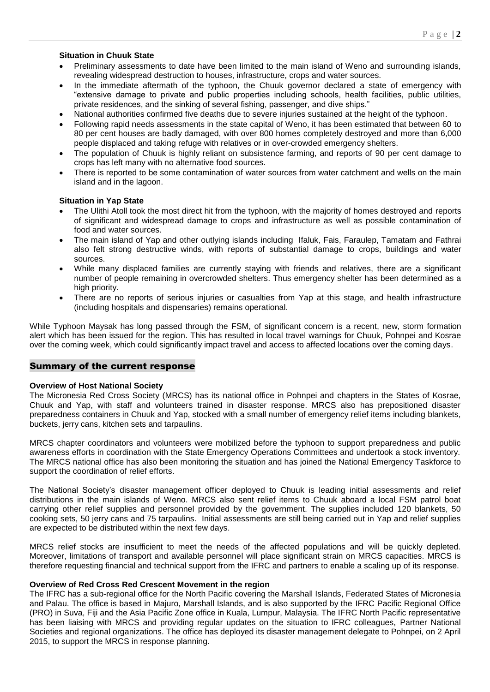#### **Situation in Chuuk State**

- Preliminary assessments to date have been limited to the main island of Weno and surrounding islands, revealing widespread destruction to houses, infrastructure, crops and water sources.
- In the immediate aftermath of the typhoon, the Chuuk governor declared a state of emergency with "extensive damage to private and public properties including schools, health facilities, public utilities, private residences, and the sinking of several fishing, passenger, and dive ships."
- National authorities confirmed five deaths due to severe injuries sustained at the height of the typhoon.
- Following rapid needs assessments in the state capital of Weno, it has been estimated that between 60 to 80 per cent houses are badly damaged, with over 800 homes completely destroyed and more than 6,000 people displaced and taking refuge with relatives or in over-crowded emergency shelters.
- The population of Chuuk is highly reliant on subsistence farming, and reports of 90 per cent damage to crops has left many with no alternative food sources.
- There is reported to be some contamination of water sources from water catchment and wells on the main island and in the lagoon.

#### **Situation in Yap State**

- The Ulithi Atoll took the most direct hit from the typhoon, with the majority of homes destroyed and reports of significant and widespread damage to crops and infrastructure as well as possible contamination of food and water sources.
- The main island of Yap and other outlying islands including Ifaluk, Fais, Faraulep, Tamatam and Fathrai also felt strong destructive winds, with reports of substantial damage to crops, buildings and water sources.
- While many displaced families are currently staying with friends and relatives, there are a significant number of people remaining in overcrowded shelters. Thus emergency shelter has been determined as a high priority.
- There are no reports of serious injuries or casualties from Yap at this stage, and health infrastructure (including hospitals and dispensaries) remains operational.

While Typhoon Maysak has long passed through the FSM, of significant concern is a recent, new, storm formation alert which has been issued for the region. This has resulted in local travel warnings for Chuuk, Pohnpei and Kosrae over the coming week, which could significantly impact travel and access to affected locations over the coming days.

#### Summary of the current response

#### **Overview of Host National Society**

The Micronesia Red Cross Society (MRCS) has its national office in Pohnpei and chapters in the States of Kosrae, Chuuk and Yap, with staff and volunteers trained in disaster response. MRCS also has prepositioned disaster preparedness containers in Chuuk and Yap, stocked with a small number of emergency relief items including blankets, buckets, jerry cans, kitchen sets and tarpaulins.

MRCS chapter coordinators and volunteers were mobilized before the typhoon to support preparedness and public awareness efforts in coordination with the State Emergency Operations Committees and undertook a stock inventory. The MRCS national office has also been monitoring the situation and has joined the National Emergency Taskforce to support the coordination of relief efforts.

The National Society's disaster management officer deployed to Chuuk is leading initial assessments and relief distributions in the main islands of Weno. MRCS also sent relief items to Chuuk aboard a local FSM patrol boat carrying other relief supplies and personnel provided by the government. The supplies included 120 blankets, 50 cooking sets, 50 jerry cans and 75 tarpaulins. Initial assessments are still being carried out in Yap and relief supplies are expected to be distributed within the next few days.

MRCS relief stocks are insufficient to meet the needs of the affected populations and will be quickly depleted. Moreover, limitations of transport and available personnel will place significant strain on MRCS capacities. MRCS is therefore requesting financial and technical support from the IFRC and partners to enable a scaling up of its response.

#### **Overview of Red Cross Red Crescent Movement in the region**

The IFRC has a sub-regional office for the North Pacific covering the Marshall Islands, Federated States of Micronesia and Palau. The office is based in Majuro, Marshall Islands, and is also supported by the IFRC Pacific Regional Office (PRO) in Suva, Fiji and the Asia Pacific Zone office in Kuala, Lumpur, Malaysia. The IFRC North Pacific representative has been liaising with MRCS and providing regular updates on the situation to IFRC colleagues, Partner National Societies and regional organizations. The office has deployed its disaster management delegate to Pohnpei, on 2 April 2015, to support the MRCS in response planning.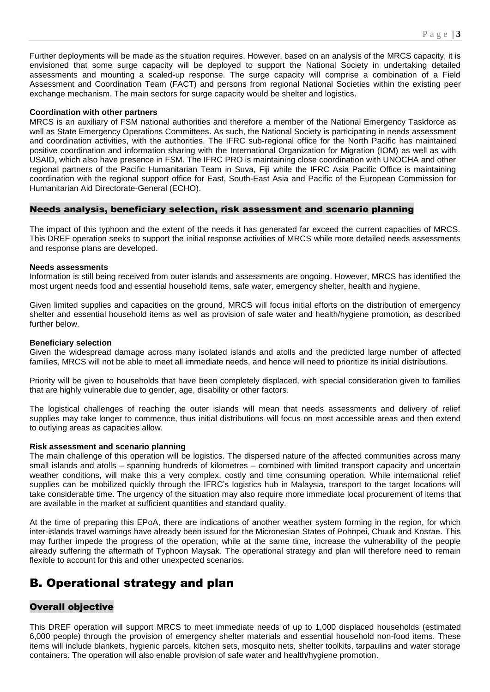Further deployments will be made as the situation requires. However, based on an analysis of the MRCS capacity, it is envisioned that some surge capacity will be deployed to support the National Society in undertaking detailed assessments and mounting a scaled-up response. The surge capacity will comprise a combination of a Field Assessment and Coordination Team (FACT) and persons from regional National Societies within the existing peer exchange mechanism. The main sectors for surge capacity would be shelter and logistics.

#### **Coordination with other partners**

MRCS is an auxiliary of FSM national authorities and therefore a member of the National Emergency Taskforce as well as State Emergency Operations Committees. As such, the National Society is participating in needs assessment and coordination activities, with the authorities. The IFRC sub-regional office for the North Pacific has maintained positive coordination and information sharing with the International Organization for Migration (IOM) as well as with USAID, which also have presence in FSM. The IFRC PRO is maintaining close coordination with UNOCHA and other regional partners of the Pacific Humanitarian Team in Suva, Fiji while the IFRC Asia Pacific Office is maintaining coordination with the regional support office for East, South-East Asia and Pacific of the European Commission for Humanitarian Aid Directorate-General (ECHO).

#### Needs analysis, beneficiary selection, risk assessment and scenario planning

The impact of this typhoon and the extent of the needs it has generated far exceed the current capacities of MRCS. This DREF operation seeks to support the initial response activities of MRCS while more detailed needs assessments and response plans are developed.

#### **Needs assessments**

Information is still being received from outer islands and assessments are ongoing. However, MRCS has identified the most urgent needs food and essential household items, safe water, emergency shelter, health and hygiene.

Given limited supplies and capacities on the ground, MRCS will focus initial efforts on the distribution of emergency shelter and essential household items as well as provision of safe water and health/hygiene promotion, as described further below.

#### **Beneficiary selection**

Given the widespread damage across many isolated islands and atolls and the predicted large number of affected families, MRCS will not be able to meet all immediate needs, and hence will need to prioritize its initial distributions.

Priority will be given to households that have been completely displaced, with special consideration given to families that are highly vulnerable due to gender, age, disability or other factors.

The logistical challenges of reaching the outer islands will mean that needs assessments and delivery of relief supplies may take longer to commence, thus initial distributions will focus on most accessible areas and then extend to outlying areas as capacities allow.

#### **Risk assessment and scenario planning**

The main challenge of this operation will be logistics. The dispersed nature of the affected communities across many small islands and atolls – spanning hundreds of kilometres – combined with limited transport capacity and uncertain weather conditions, will make this a very complex, costly and time consuming operation. While international relief supplies can be mobilized quickly through the IFRC's logistics hub in Malaysia, transport to the target locations will take considerable time. The urgency of the situation may also require more immediate local procurement of items that are available in the market at sufficient quantities and standard quality.

At the time of preparing this EPoA, there are indications of another weather system forming in the region, for which inter-islands travel warnings have already been issued for the Micronesian States of Pohnpei, Chuuk and Kosrae. This may further impede the progress of the operation, while at the same time, increase the vulnerability of the people already suffering the aftermath of Typhoon Maysak. The operational strategy and plan will therefore need to remain flexible to account for this and other unexpected scenarios.

# B. Operational strategy and plan

### Overall objective

This DREF operation will support MRCS to meet immediate needs of up to 1,000 displaced households (estimated 6,000 people) through the provision of emergency shelter materials and essential household non-food items. These items will include blankets, hygienic parcels, kitchen sets, mosquito nets, shelter toolkits, tarpaulins and water storage containers. The operation will also enable provision of safe water and health/hygiene promotion.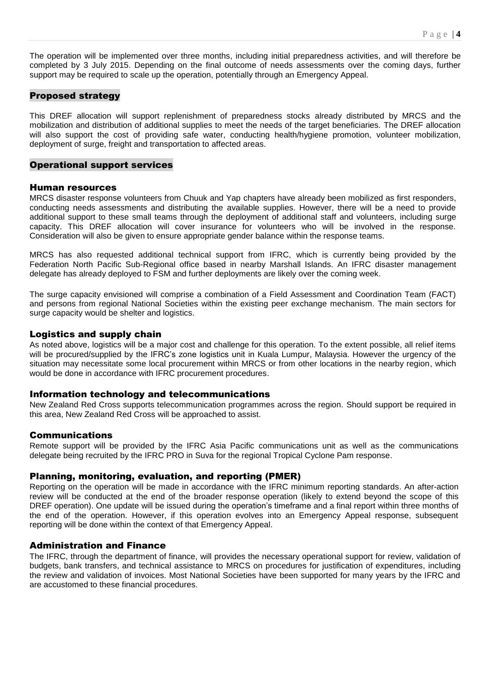The operation will be implemented over three months, including initial preparedness activities, and will therefore be completed by 3 July 2015. Depending on the final outcome of needs assessments over the coming days, further support may be required to scale up the operation, potentially through an Emergency Appeal.

### Proposed strategy

This DREF allocation will support replenishment of preparedness stocks already distributed by MRCS and the mobilization and distribution of additional supplies to meet the needs of the target beneficiaries. The DREF allocation will also support the cost of providing safe water, conducting health/hygiene promotion, volunteer mobilization, deployment of surge, freight and transportation to affected areas.

#### Operational support services

#### Human resources

MRCS disaster response volunteers from Chuuk and Yap chapters have already been mobilized as first responders, conducting needs assessments and distributing the available supplies. However, there will be a need to provide additional support to these small teams through the deployment of additional staff and volunteers, including surge capacity. This DREF allocation will cover insurance for volunteers who will be involved in the response. Consideration will also be given to ensure appropriate gender balance within the response teams.

MRCS has also requested additional technical support from IFRC, which is currently being provided by the Federation North Pacific Sub-Regional office based in nearby Marshall Islands. An IFRC disaster management delegate has already deployed to FSM and further deployments are likely over the coming week.

The surge capacity envisioned will comprise a combination of a Field Assessment and Coordination Team (FACT) and persons from regional National Societies within the existing peer exchange mechanism. The main sectors for surge capacity would be shelter and logistics.

#### Logistics and supply chain

As noted above, logistics will be a major cost and challenge for this operation. To the extent possible, all relief items will be procured/supplied by the IFRC's zone logistics unit in Kuala Lumpur, Malaysia. However the urgency of the situation may necessitate some local procurement within MRCS or from other locations in the nearby region, which would be done in accordance with IFRC procurement procedures.

#### Information technology and telecommunications

New Zealand Red Cross supports telecommunication programmes across the region. Should support be required in this area, New Zealand Red Cross will be approached to assist.

#### Communications

Remote support will be provided by the IFRC Asia Pacific communications unit as well as the communications delegate being recruited by the IFRC PRO in Suva for the regional Tropical Cyclone Pam response.

### Planning, monitoring, evaluation, and reporting (PMER)

Reporting on the operation will be made in accordance with the IFRC minimum reporting standards. An after-action review will be conducted at the end of the broader response operation (likely to extend beyond the scope of this DREF operation). One update will be issued during the operation's timeframe and a final report within three months of the end of the operation. However, if this operation evolves into an Emergency Appeal response, subsequent reporting will be done within the context of that Emergency Appeal.

### Administration and Finance

The IFRC, through the department of finance, will provides the necessary operational support for review, validation of budgets, bank transfers, and technical assistance to MRCS on procedures for justification of expenditures, including the review and validation of invoices. Most National Societies have been supported for many years by the IFRC and are accustomed to these financial procedures.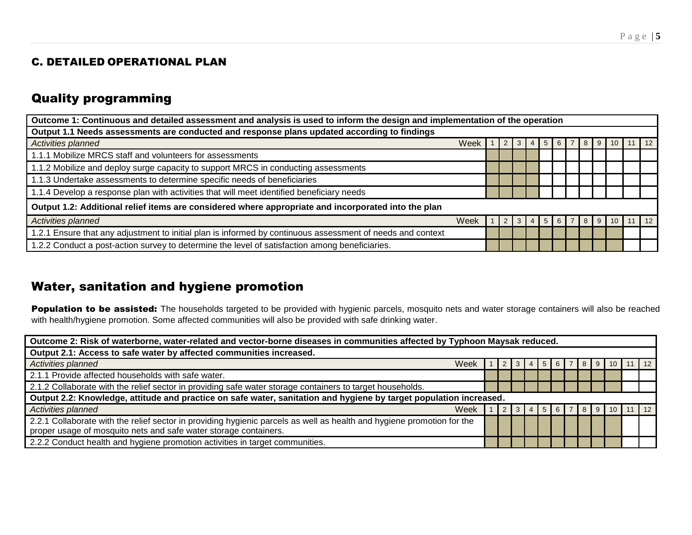# C. DETAILED OPERATIONAL PLAN

# Quality programming

| Outcome 1: Continuous and detailed assessment and analysis is used to inform the design and implementation of the operation |      |  |  |     |  |                   |       |  |            |                 |    |            |
|-----------------------------------------------------------------------------------------------------------------------------|------|--|--|-----|--|-------------------|-------|--|------------|-----------------|----|------------|
| Output 1.1 Needs assessments are conducted and response plans updated according to findings                                 |      |  |  |     |  |                   |       |  |            |                 |    |            |
| Activities planned                                                                                                          | Week |  |  |     |  | $3 \mid 4 \mid 5$ | 6   7 |  | $8 \mid 9$ | 10 <sup>1</sup> | 11 | $\vert$ 12 |
| 1.1.1 Mobilize MRCS staff and volunteers for assessments                                                                    |      |  |  |     |  |                   |       |  |            |                 |    |            |
| 1.1.2 Mobilize and deploy surge capacity to support MRCS in conducting assessments                                          |      |  |  |     |  |                   |       |  |            |                 |    |            |
| 1.1.3 Undertake assessments to determine specific needs of beneficiaries                                                    |      |  |  |     |  |                   |       |  |            |                 |    |            |
| 1.1.4 Develop a response plan with activities that will meet identified beneficiary needs                                   |      |  |  |     |  |                   |       |  |            |                 |    |            |
| Output 1.2: Additional relief items are considered where appropriate and incorporated into the plan                         |      |  |  |     |  |                   |       |  |            |                 |    |            |
| Activities planned                                                                                                          | Week |  |  | 3 I |  | $\overline{5}$    | 6   7 |  | 89         | 10 <sup>1</sup> | 11 | 12         |
| 1.2.1 Ensure that any adjustment to initial plan is informed by continuous assessment of needs and context                  |      |  |  |     |  |                   |       |  |            |                 |    |            |
| 1.2.2 Conduct a post-action survey to determine the level of satisfaction among beneficiaries.                              |      |  |  |     |  |                   |       |  |            |                 |    |            |

# Water, sanitation and hygiene promotion

Population to be assisted: The households targeted to be provided with hygienic parcels, mosquito nets and water storage containers will also be reached with health/hygiene promotion. Some affected communities will also be provided with safe drinking water.

| Outcome 2: Risk of waterborne, water-related and vector-borne diseases in communities affected by Typhoon Maysak reduced. |  |  |  |            |  |                           |  |                                      |  |  |                |  |
|---------------------------------------------------------------------------------------------------------------------------|--|--|--|------------|--|---------------------------|--|--------------------------------------|--|--|----------------|--|
| Output 2.1: Access to safe water by affected communities increased.                                                       |  |  |  |            |  |                           |  |                                      |  |  |                |  |
| Activities planned<br>Week                                                                                                |  |  |  | $3 \mid 4$ |  | 5  6  7  8  9  10  11  12 |  |                                      |  |  |                |  |
| 2.1.1 Provide affected households with safe water.                                                                        |  |  |  |            |  |                           |  |                                      |  |  |                |  |
| 2.1.2 Collaborate with the relief sector in providing safe water storage containers to target households.                 |  |  |  |            |  |                           |  |                                      |  |  |                |  |
| Output 2.2: Knowledge, attitude and practice on safe water, sanitation and hygiene by target population increased.        |  |  |  |            |  |                           |  |                                      |  |  |                |  |
| Week<br><b>Activities planned</b>                                                                                         |  |  |  | $-13$      |  | 15617                     |  | $\begin{array}{c} \end{array}$ 8   9 |  |  | $10$   11   12 |  |
| 2.2.1 Collaborate with the relief sector in providing hygienic parcels as well as health and hygiene promotion for the    |  |  |  |            |  |                           |  |                                      |  |  |                |  |
| proper usage of mosquito nets and safe water storage containers.                                                          |  |  |  |            |  |                           |  |                                      |  |  |                |  |
| 2.2.2 Conduct health and hygiene promotion activities in target communities.                                              |  |  |  |            |  |                           |  |                                      |  |  |                |  |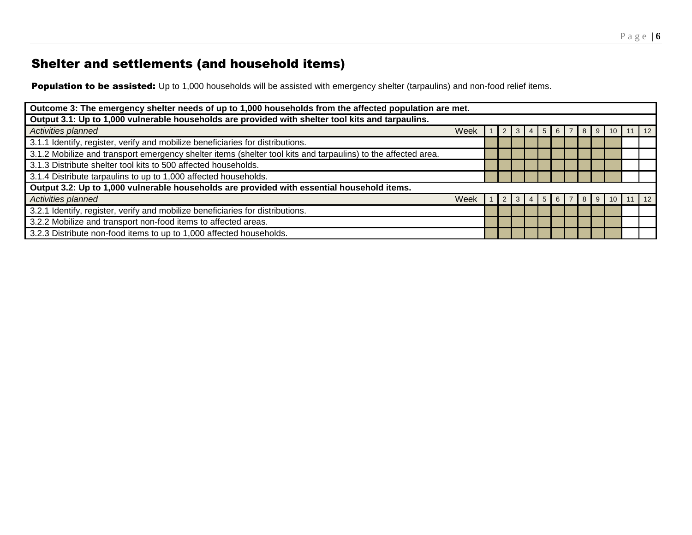# Shelter and settlements (and household items)

Population to be assisted: Up to 1,000 households will be assisted with emergency shelter (tarpaulins) and non-food relief items.

| Outcome 3: The emergency shelter needs of up to 1,000 households from the affected population are met.        |      |  |  |   |    |     |    |       |           |    |
|---------------------------------------------------------------------------------------------------------------|------|--|--|---|----|-----|----|-------|-----------|----|
| Output 3.1: Up to 1,000 vulnerable households are provided with shelter tool kits and tarpaulins.             |      |  |  |   |    |     |    |       |           |    |
| Activities planned                                                                                            | Week |  |  | 3 | -4 | I 5 | -6 | 8   9 |           | 12 |
| 3.1.1 Identify, register, verify and mobilize beneficiaries for distributions.                                |      |  |  |   |    |     |    |       |           |    |
| 3.1.2 Mobilize and transport emergency shelter items (shelter tool kits and tarpaulins) to the affected area. |      |  |  |   |    |     |    |       |           |    |
| 3.1.3 Distribute shelter tool kits to 500 affected households.                                                |      |  |  |   |    |     |    |       |           |    |
| 3.1.4 Distribute tarpaulins to up to 1,000 affected households.                                               |      |  |  |   |    |     |    |       |           |    |
| Output 3.2: Up to 1,000 vulnerable households are provided with essential household items.                    |      |  |  |   |    |     |    |       |           |    |
| Activities planned                                                                                            | Week |  |  | 3 |    | 5   | -6 | 8     | l 9<br>10 | 12 |
| 3.2.1 Identify, register, verify and mobilize beneficiaries for distributions.                                |      |  |  |   |    |     |    |       |           |    |
| 3.2.2 Mobilize and transport non-food items to affected areas.                                                |      |  |  |   |    |     |    |       |           |    |
| 3.2.3 Distribute non-food items to up to 1,000 affected households.                                           |      |  |  |   |    |     |    |       |           |    |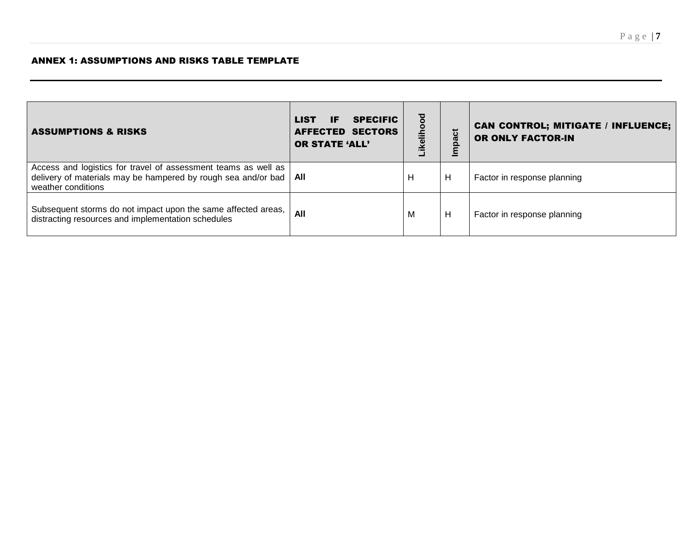| <b>ASSUMPTIONS &amp; RISKS</b>                                                                                                                        | <b>SPECIFIC</b><br><b>LIST</b><br>IF<br>AFFECTED SECTORS<br><b>OR STATE 'ALL'</b> | ਠ<br>ikelihoo | act | <b>CAN CONTROL; MITIGATE / INFLUENCE;</b><br>OR ONLY FACTOR-IN |
|-------------------------------------------------------------------------------------------------------------------------------------------------------|-----------------------------------------------------------------------------------|---------------|-----|----------------------------------------------------------------|
| Access and logistics for travel of assessment teams as well as<br>delivery of materials may be hampered by rough sea and/or bad<br>weather conditions | All                                                                               | H             | H   | Factor in response planning                                    |
| Subsequent storms do not impact upon the same affected areas,<br>distracting resources and implementation schedules                                   | All                                                                               | м             | H   | Factor in response planning                                    |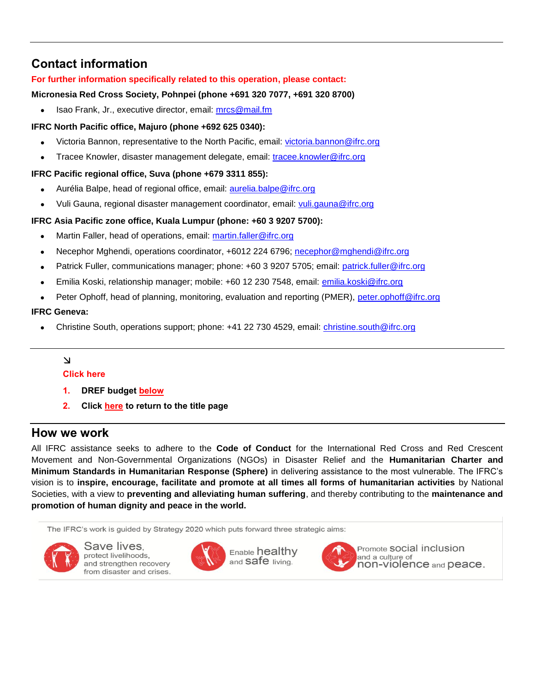# **Contact information**

## **For further information specifically related to this operation, please contact:**

### **Micronesia Red Cross Society, Pohnpei (phone +691 320 7077, +691 320 8700)**

Isao Frank, Jr., executive director, email: [mrcs@mail.fm](mailto:mrcs@mail.fm)

### **IFRC North Pacific office, Majuro (phone +692 625 0340):**

- Victoria Bannon, representative to the North Pacific, email: [victoria.bannon@ifrc.org](mailto:victoria.bannon@ifrc.org)
- Tracee Knowler, disaster management delegate, email: [tracee.knowler@ifrc.org](mailto:tracee.knowler@ifrc.org)

### **IFRC Pacific regional office, Suva (phone +679 3311 855):**

- Aurélia Balpe, head of regional office, email: [aurelia.balpe@ifrc.org](mailto:aurelia.balpe@ifrc.org)
- Vuli Gauna, regional disaster management coordinator, email: [vuli.gauna@ifrc.org](mailto:vuli.gauna@ifrc.org)

### **IFRC Asia Pacific zone office, Kuala Lumpur (phone: +60 3 9207 5700):**

- Martin Faller, head of operations, email: [martin.faller@ifrc.org](mailto:martin.faller@ifrc.org)
- Necephor Mghendi, operations coordinator, +6012 224 6796; [necephor@mghendi@ifrc.org](mailto:necephor@mghendi@ifrc.org)
- Patrick Fuller, communications manager; phone: +60 3 9207 5705; email: [patrick.fuller@ifrc.org](mailto:patrick.fuller@ifrc.org)
- Emilia Koski, relationship manager; mobile: +60 12 230 7548, email: [emilia.koski@ifrc.org](mailto:emilia.koski@ifrc.org)
- Peter Ophoff, head of planning, monitoring, evaluation and reporting (PMER), [peter.ophoff@ifrc.org](mailto:peter.ophoff@ifrc.org)

### **IFRC Geneva:**

Christine South, operations support; phone: +41 22 730 4529, email: [christine.south@ifrc.org](mailto:christine.south@ifrc.org)

## $\Delta$

### **Click here**

- **1. DREF budget [below](#page-8-0)**
- **2. Click [here](#page-0-0) to return to the title page**

# **How we work**

All IFRC assistance seeks to adhere to the **Code of Conduct** for the International Red Cross and Red Crescent Movement and Non-Governmental Organizations (NGOs) in Disaster Relief and the **Humanitarian Charter and Minimum Standards in Humanitarian Response (Sphere)** in delivering assistance to the most vulnerable. The IFRC's vision is to **inspire, encourage, facilitate and promote at all times all forms of humanitarian activities** by National Societies, with a view to **preventing and alleviating human suffering**, and thereby contributing to the **maintenance and promotion of human dignity and peace in the world.**

The IFRC's work is guided by Strategy 2020 which puts forward three strategic aims:



Save lives. protect livelihoods, and strengthen recovery from disaster and crises.







Promote SOCIal inclusion and a culture of non-violence and peace.